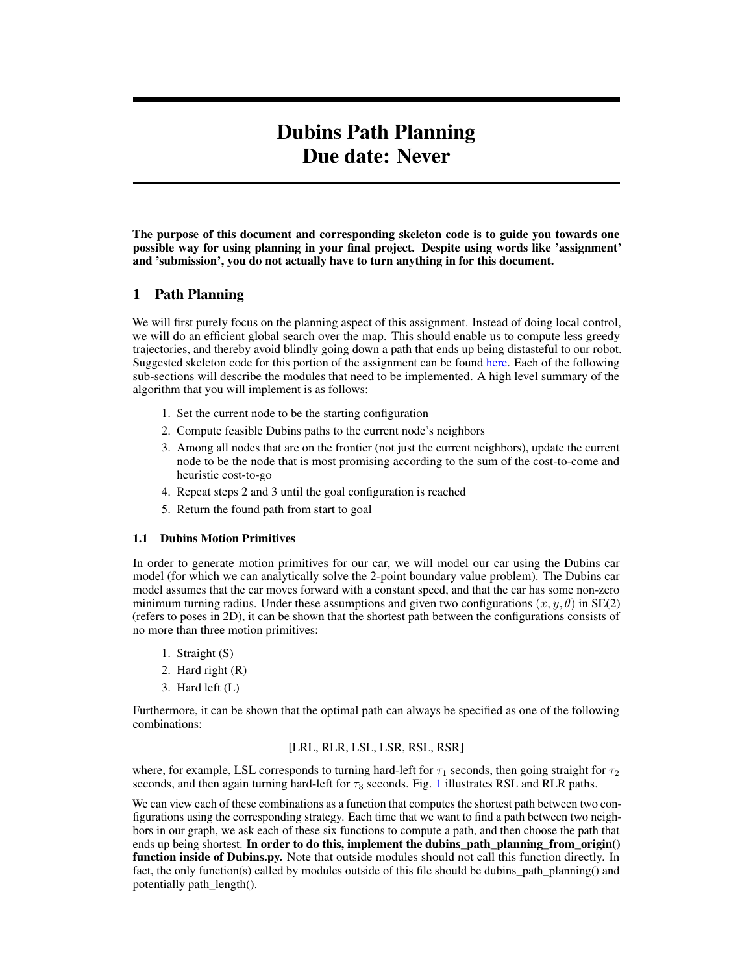# Dubins Path Planning Due date: Never

The purpose of this document and corresponding skeleton code is to guide you towards one possible way for using planning in your final project. Despite using words like 'assignment' and 'submission', you do not actually have to turn anything in for this document.

## 1 Path Planning

We will first purely focus on the planning aspect of this assignment. Instead of doing local control, we will do an efficient global search over the map. This should enable us to compute less greedy trajectories, and thereby avoid blindly going down a path that ends up being distasteful to our robot. Suggested skeleton code for this portion of the assignment can be found [here.](https://gitlab.cs.washington.edu/cse490r_18wi/lab4) Each of the following sub-sections will describe the modules that need to be implemented. A high level summary of the algorithm that you will implement is as follows:

- 1. Set the current node to be the starting configuration
- 2. Compute feasible Dubins paths to the current node's neighbors
- 3. Among all nodes that are on the frontier (not just the current neighbors), update the current node to be the node that is most promising according to the sum of the cost-to-come and heuristic cost-to-go
- 4. Repeat steps 2 and 3 until the goal configuration is reached
- 5. Return the found path from start to goal

## 1.1 Dubins Motion Primitives

In order to generate motion primitives for our car, we will model our car using the Dubins car model (for which we can analytically solve the 2-point boundary value problem). The Dubins car model assumes that the car moves forward with a constant speed, and that the car has some non-zero minimum turning radius. Under these assumptions and given two configurations  $(x, y, \theta)$  in SE(2) (refers to poses in 2D), it can be shown that the shortest path between the configurations consists of no more than three motion primitives:

- 1. Straight (S)
- 2. Hard right (R)
- 3. Hard left (L)

Furthermore, it can be shown that the optimal path can always be specified as one of the following combinations:

#### [LRL, RLR, LSL, LSR, RSL, RSR]

where, for example, LSL corresponds to turning hard-left for  $\tau_1$  seconds, then going straight for  $\tau_2$ seconds, and then again turning hard-left for  $\tau_3$  seconds. Fig. [1](#page-1-0) illustrates RSL and RLR paths.

We can view each of these combinations as a function that computes the shortest path between two configurations using the corresponding strategy. Each time that we want to find a path between two neighbors in our graph, we ask each of these six functions to compute a path, and then choose the path that ends up being shortest. In order to do this, implement the dubins\_path\_planning\_from\_origin() function inside of Dubins.py. Note that outside modules should not call this function directly. In fact, the only function(s) called by modules outside of this file should be dubins\_path\_planning() and potentially path\_length().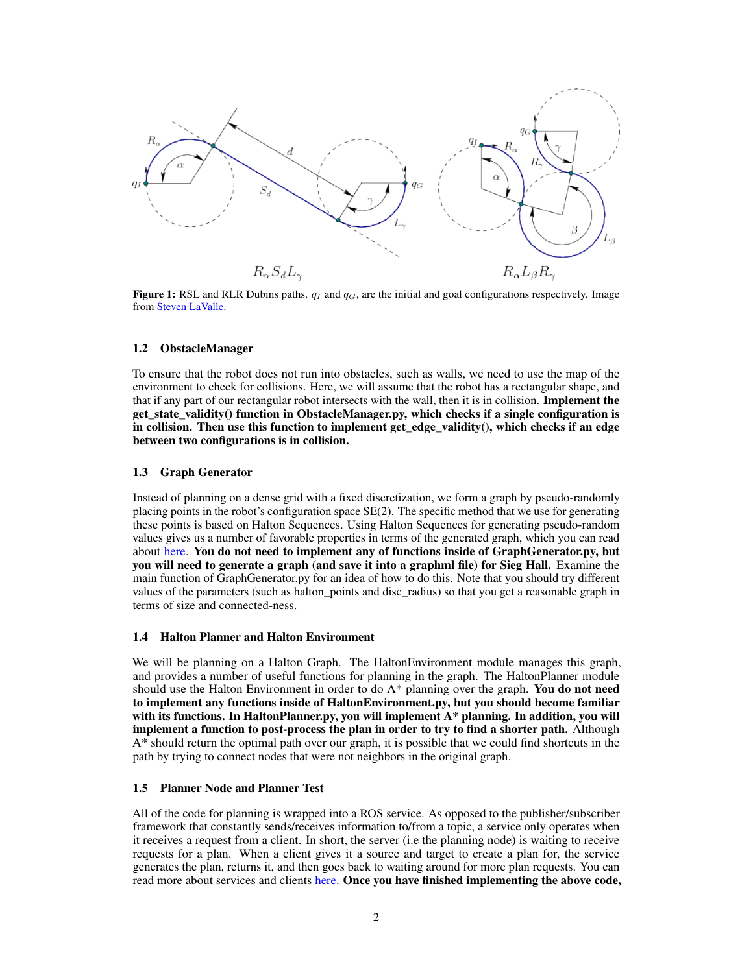<span id="page-1-0"></span>

Figure 1: RSL and RLR Dubins paths.  $q_I$  and  $q_G$ , are the initial and goal configurations respectively. Image from [Steven LaValle.](http://planning.cs.uiuc.edu/node821.html)

#### 1.2 ObstacleManager

To ensure that the robot does not run into obstacles, such as walls, we need to use the map of the environment to check for collisions. Here, we will assume that the robot has a rectangular shape, and that if any part of our rectangular robot intersects with the wall, then it is in collision. Implement the get\_state\_validity() function in ObstacleManager.py, which checks if a single configuration is in collision. Then use this function to implement get edge validity $()$ , which checks if an edge between two configurations is in collision.

#### 1.3 Graph Generator

Instead of planning on a dense grid with a fixed discretization, we form a graph by pseudo-randomly placing points in the robot's configuration space SE(2). The specific method that we use for generating these points is based on Halton Sequences. Using Halton Sequences for generating pseudo-random values gives us a number of favorable properties in terms of the generated graph, which you can read about [here.](http://www.aae.wisc.edu/dphaneuf/aae%20875/Halton%20sequences.pdf) You do not need to implement any of functions inside of GraphGenerator.py, but you will need to generate a graph (and save it into a graphml file) for Sieg Hall. Examine the main function of GraphGenerator.py for an idea of how to do this. Note that you should try different values of the parameters (such as halton\_points and disc\_radius) so that you get a reasonable graph in terms of size and connected-ness.

### 1.4 Halton Planner and Halton Environment

We will be planning on a Halton Graph. The HaltonEnvironment module manages this graph, and provides a number of useful functions for planning in the graph. The HaltonPlanner module should use the Halton Environment in order to do A\* planning over the graph. You do not need to implement any functions inside of HaltonEnvironment.py, but you should become familiar with its functions. In HaltonPlanner.py, you will implement A\* planning. In addition, you will implement a function to post-process the plan in order to try to find a shorter path. Although A\* should return the optimal path over our graph, it is possible that we could find shortcuts in the path by trying to connect nodes that were not neighbors in the original graph.

#### 1.5 Planner Node and Planner Test

All of the code for planning is wrapped into a ROS service. As opposed to the publisher/subscriber framework that constantly sends/receives information to/from a topic, a service only operates when it receives a request from a client. In short, the server (i.e the planning node) is waiting to receive requests for a plan. When a client gives it a source and target to create a plan for, the service generates the plan, returns it, and then goes back to waiting around for more plan requests. You can read more about services and clients [here.](http://wiki.ros.org/rospy/Overview/Services) Once you have finished implementing the above code,